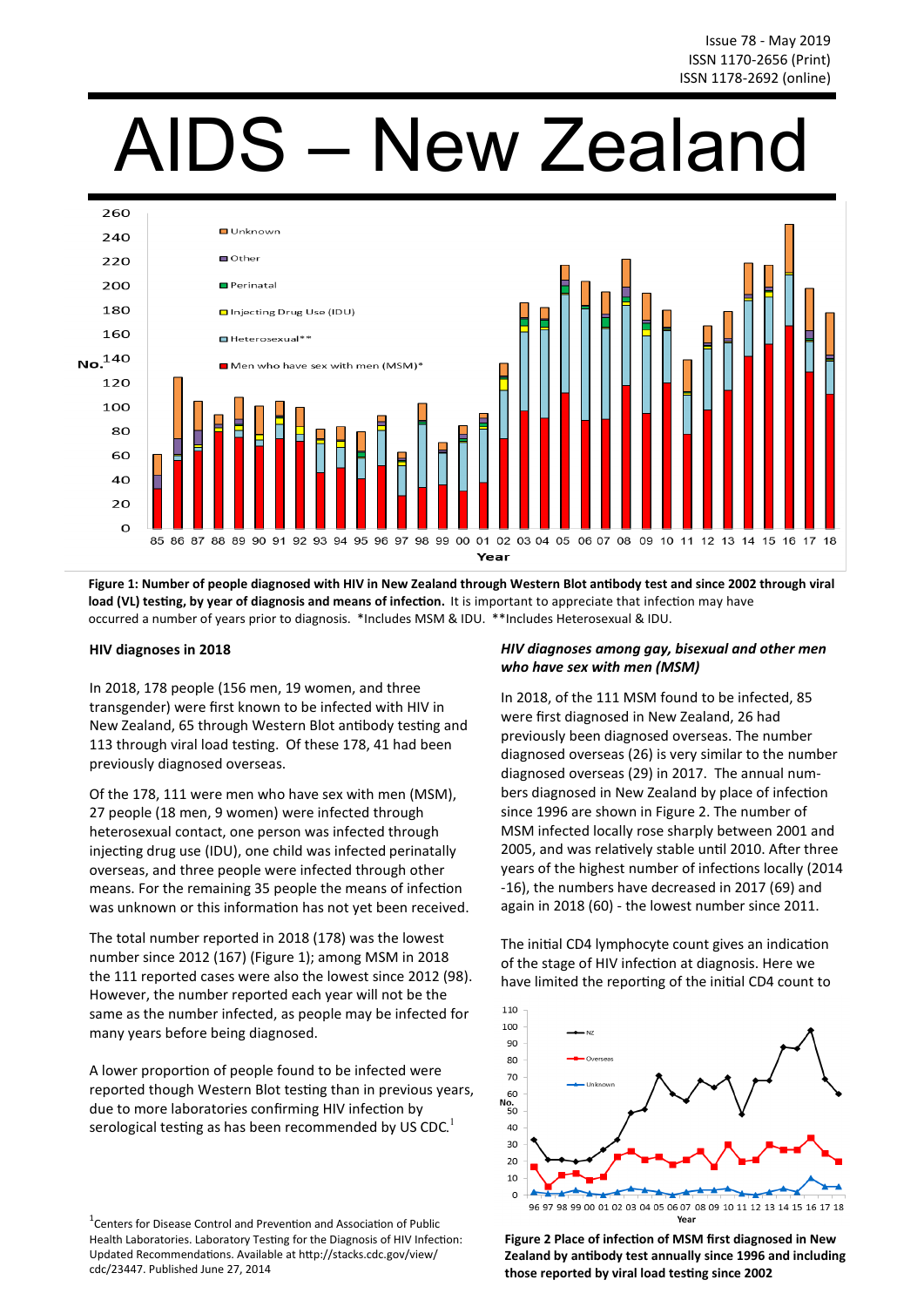# AIDS – New Zealand



**Figure 1: Number of people diagnosed with HIV in New Zealand through Western Blot antibody test and since 2002 through viral load (VL) testing, by year of diagnosis and means of infection.** It is important to appreciate that infection may have occurred a number of years prior to diagnosis. \*Includes MSM & IDU. \*\*Includes Heterosexual & IDU.

#### **HIV diagnoses in 2018**

In 2018, 178 people (156 men, 19 women, and three transgender) were first known to be infected with HIV in New Zealand, 65 through Western Blot antibody testing and 113 through viral load testing. Of these 178, 41 had been previously diagnosed overseas.

Of the 178, 111 were men who have sex with men (MSM), 27 people (18 men, 9 women) were infected through heterosexual contact, one person was infected through injecting drug use (IDU), one child was infected perinatally overseas, and three people were infected through other means. For the remaining 35 people the means of infection was unknown or this information has not yet been received.

The total number reported in 2018 (178) was the lowest number since 2012 (167) (Figure 1); among MSM in 2018 the 111 reported cases were also the lowest since 2012 (98). However, the number reported each year will not be the same as the number infected, as people may be infected for many years before being diagnosed.

A lower proportion of people found to be infected were reported though Western Blot testing than in previous years, due to more laboratories confirming HIV infection by serological testing as has been recommended by US CDC.<sup>1</sup>

 $1$ Centers for Disease Control and Prevention and Association of Public Health Laboratories. Laboratory Testing for the Diagnosis of HIV Infection: Updated Recommendations. Available at http://stacks.cdc.gov/view/ cdc/23447. Published June 27, 2014

# *HIV diagnoses among gay, bisexual and other men who have sex with men (MSM)*

In 2018, of the 111 MSM found to be infected, 85 were first diagnosed in New Zealand, 26 had previously been diagnosed overseas. The number diagnosed overseas (26) is very similar to the number diagnosed overseas (29) in 2017. The annual numbers diagnosed in New Zealand by place of infection since 1996 are shown in Figure 2. The number of MSM infected locally rose sharply between 2001 and 2005, and was relatively stable until 2010. After three years of the highest number of infections locally (2014 -16), the numbers have decreased in 2017 (69) and again in 2018 (60) - the lowest number since 2011.

The initial CD4 lymphocyte count gives an indication of the stage of HIV infection at diagnosis. Here we have limited the reporting of the initial CD4 count to



**Figure 2 Place of infection of MSM first diagnosed in New Zealand by antibody test annually since 1996 and including those reported by viral load testing since 2002**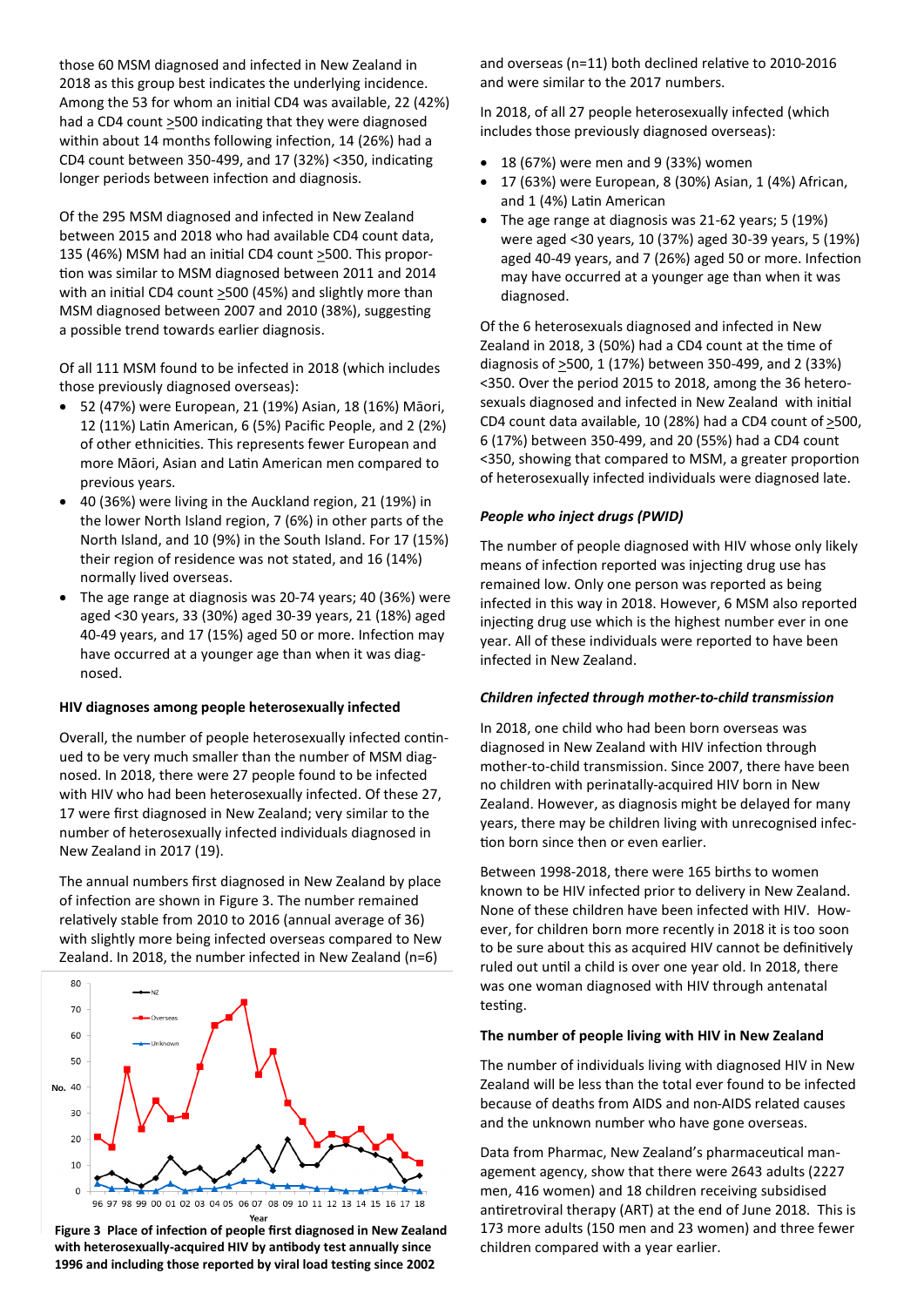those 60 MSM diagnosed and infected in New Zealand in 2018 as this group best indicates the underlying incidence. Among the 53 for whom an initial CD4 was available, 22 (42%) had a CD4 count >500 indicating that they were diagnosed within about 14 months following infection, 14 (26%) had a CD4 count between 350-499, and 17 (32%) <350, indicating longer periods between infection and diagnosis.

Of the 295 MSM diagnosed and infected in New Zealand between 2015 and 2018 who had available CD4 count data, 135 (46%) MSM had an initial CD4 count  $\geq$ 500. This proportion was similar to MSM diagnosed between 2011 and 2014 with an initial CD4 count >500 (45%) and slightly more than MSM diagnosed between 2007 and 2010 (38%), suggesting a possible trend towards earlier diagnosis.

Of all 111 MSM found to be infected in 2018 (which includes those previously diagnosed overseas):

- 52 (47%) were European, 21 (19%) Asian, 18 (16%) Māori, 12 (11%) Latin American, 6 (5%) Pacific People, and 2 (2%) of other ethnicities. This represents fewer European and more Māori, Asian and Latin American men compared to previous years.
- 40 (36%) were living in the Auckland region, 21 (19%) in the lower North Island region, 7 (6%) in other parts of the North Island, and 10 (9%) in the South Island. For 17 (15%) their region of residence was not stated, and 16 (14%) normally lived overseas.
- The age range at diagnosis was 20-74 years; 40 (36%) were aged <30 years, 33 (30%) aged 30-39 years, 21 (18%) aged 40-49 years, and 17 (15%) aged 50 or more. Infection may have occurred at a younger age than when it was diagnosed.

#### **HIV diagnoses among people heterosexually infected**

Overall, the number of people heterosexually infected continued to be very much smaller than the number of MSM diagnosed. In 2018, there were 27 people found to be infected with HIV who had been heterosexually infected. Of these 27, 17 were first diagnosed in New Zealand; very similar to the number of heterosexually infected individuals diagnosed in New Zealand in 2017 (19).

The annual numbers first diagnosed in New Zealand by place of infection are shown in Figure 3. The number remained relatively stable from 2010 to 2016 (annual average of 36) with slightly more being infected overseas compared to New Zealand. In 2018, the number infected in New Zealand (n=6)



**Figure 3 Place of infection of people first diagnosed in New Zealand with heterosexually-acquired HIV by antibody test annually since 1996 and including those reported by viral load testing since 2002** 

and overseas (n=11) both declined relative to 2010-2016 and were similar to the 2017 numbers.

In 2018, of all 27 people heterosexually infected (which includes those previously diagnosed overseas):

- $\bullet$  18 (67%) were men and 9 (33%) women
- 17 (63%) were European, 8 (30%) Asian, 1 (4%) African, and 1 (4%) Latin American
- The age range at diagnosis was 21-62 years; 5 (19%) were aged <30 years, 10 (37%) aged 30-39 years, 5 (19%) aged 40-49 years, and 7 (26%) aged 50 or more. Infection may have occurred at a younger age than when it was diagnosed.

Of the 6 heterosexuals diagnosed and infected in New Zealand in 2018, 3 (50%) had a CD4 count at the time of diagnosis of  $\geq$ 500, 1 (17%) between 350-499, and 2 (33%) <350. Over the period 2015 to 2018, among the 36 heterosexuals diagnosed and infected in New Zealand with initial CD4 count data available, 10 (28%) had a CD4 count of >500, 6 (17%) between 350-499, and 20 (55%) had a CD4 count <350, showing that compared to MSM, a greater proportion of heterosexually infected individuals were diagnosed late.

## *People who inject drugs (PWID)*

The number of people diagnosed with HIV whose only likely means of infection reported was injecting drug use has remained low. Only one person was reported as being infected in this way in 2018. However, 6 MSM also reported injecting drug use which is the highest number ever in one year. All of these individuals were reported to have been infected in New Zealand.

#### *Children infected through mother-to-child transmission*

In 2018, one child who had been born overseas was diagnosed in New Zealand with HIV infection through mother-to-child transmission. Since 2007, there have been no children with perinatally-acquired HIV born in New Zealand. However, as diagnosis might be delayed for many years, there may be children living with unrecognised infection born since then or even earlier.

Between 1998-2018, there were 165 births to women known to be HIV infected prior to delivery in New Zealand. None of these children have been infected with HIV. However, for children born more recently in 2018 it is too soon to be sure about this as acquired HIV cannot be definitively ruled out until a child is over one year old. In 2018, there was one woman diagnosed with HIV through antenatal testing.

#### **The number of people living with HIV in New Zealand**

The number of individuals living with diagnosed HIV in New Zealand will be less than the total ever found to be infected because of deaths from AIDS and non-AIDS related causes and the unknown number who have gone overseas.

Data from Pharmac, New Zealand's pharmaceutical management agency, show that there were 2643 adults (2227 men, 416 women) and 18 children receiving subsidised antiretroviral therapy (ART) at the end of June 2018. This is 173 more adults (150 men and 23 women) and three fewer children compared with a year earlier.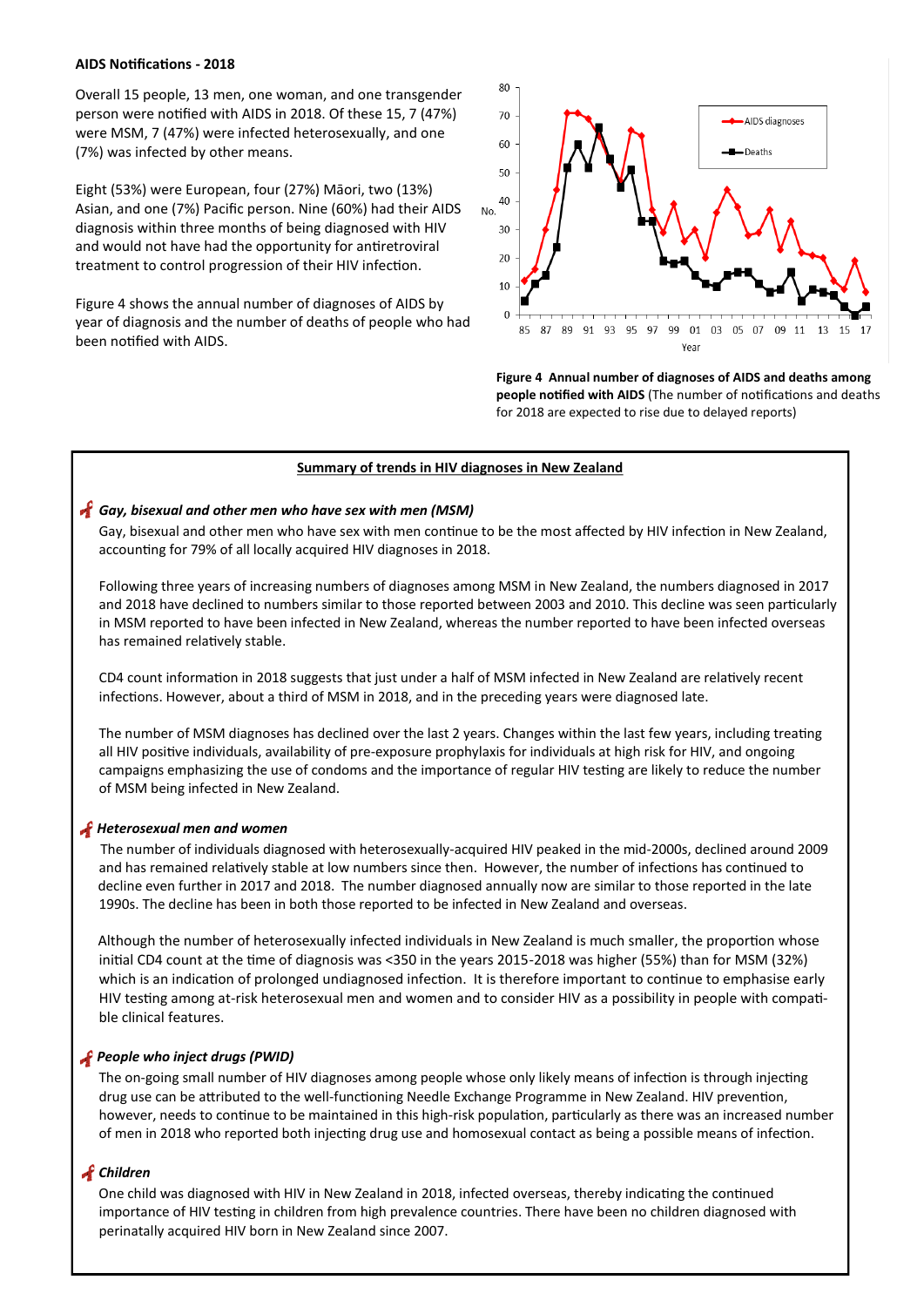#### **AIDS Notifications - 2018**

Overall 15 people, 13 men, one woman, and one transgender person were notified with AIDS in 2018. Of these 15, 7 (47%) were MSM, 7 (47%) were infected heterosexually, and one (7%) was infected by other means.

Eight (53%) were European, four (27%) Māori, two (13%) Asian, and one (7%) Pacific person. Nine (60%) had their AIDS diagnosis within three months of being diagnosed with HIV and would not have had the opportunity for antiretroviral treatment to control progression of their HIV infection.

Figure 4 shows the annual number of diagnoses of AIDS by year of diagnosis and the number of deaths of people who had been notified with AIDS.



**Figure 4 Annual number of diagnoses of AIDS and deaths among people notified with AIDS** (The number of notifications and deaths for 2018 are expected to rise due to delayed reports)

#### **Summary of trends in HIV diagnoses in New Zealand**

#### *Gay, bisexual and other men who have sex with men (MSM)*

Gay, bisexual and other men who have sex with men continue to be the most affected by HIV infection in New Zealand, accounting for 79% of all locally acquired HIV diagnoses in 2018.

Following three years of increasing numbers of diagnoses among MSM in New Zealand, the numbers diagnosed in 2017 and 2018 have declined to numbers similar to those reported between 2003 and 2010. This decline was seen particularly in MSM reported to have been infected in New Zealand, whereas the number reported to have been infected overseas has remained relatively stable.

CD4 count information in 2018 suggests that just under a half of MSM infected in New Zealand are relatively recent infections. However, about a third of MSM in 2018, and in the preceding years were diagnosed late.

The number of MSM diagnoses has declined over the last 2 years. Changes within the last few years, including treating all HIV positive individuals, availability of pre-exposure prophylaxis for individuals at high risk for HIV, and ongoing campaigns emphasizing the use of condoms and the importance of regular HIV testing are likely to reduce the number of MSM being infected in New Zealand.

## *Heterosexual men and women*

The number of individuals diagnosed with heterosexually-acquired HIV peaked in the mid-2000s, declined around 2009 and has remained relatively stable at low numbers since then. However, the number of infections has continued to decline even further in 2017 and 2018. The number diagnosed annually now are similar to those reported in the late 1990s. The decline has been in both those reported to be infected in New Zealand and overseas.

 Although the number of heterosexually infected individuals in New Zealand is much smaller, the proportion whose initial CD4 count at the time of diagnosis was <350 in the years 2015-2018 was higher (55%) than for MSM (32%) which is an indication of prolonged undiagnosed infection. It is therefore important to continue to emphasise early HIV testing among at-risk heterosexual men and women and to consider HIV as a possibility in people with compatible clinical features.

#### *People who inject drugs (PWID)*

The on-going small number of HIV diagnoses among people whose only likely means of infection is through injecting drug use can be attributed to the well-functioning Needle Exchange Programme in New Zealand. HIV prevention, however, needs to continue to be maintained in this high-risk population, particularly as there was an increased number of men in 2018 who reported both injecting drug use and homosexual contact as being a possible means of infection.

#### *Children*

One child was diagnosed with HIV in New Zealand in 2018, infected overseas, thereby indicating the continued importance of HIV testing in children from high prevalence countries. There have been no children diagnosed with perinatally acquired HIV born in New Zealand since 2007.